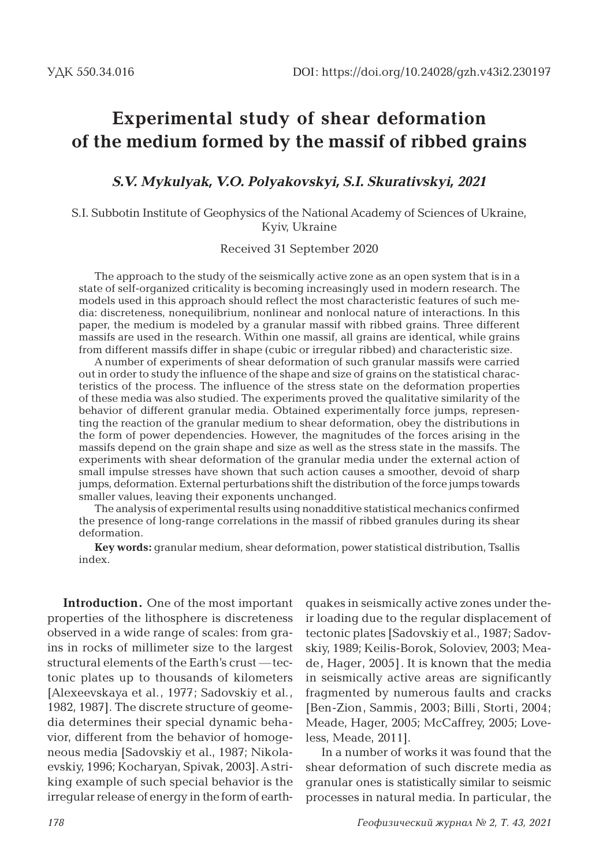### **Experimental study of shear deformation of the medium formed by the massif of ribbed grains**

*S.V. Mykulyak, V.O. Polyakovskyi, S.I. Skurativskyi, 2021*

S.I. Subbotin Institute of Geophysics of the National Academy of Sciences of Ukraine, Kyiv, Ukraine

Received 31 September 2020

The approach to the study of the seismically active zone as an open system that is in a state of self-organized criticality is becoming increasingly used in modern research. The models used in this approach should reflect the most characteristic features of such media: discreteness, nonequilibrium, nonlinear and nonlocal nature of interactions. In this paper, the medium is modeled by a granular massif with ribbed grains. Three different massifs are used in the research. Within one massif, all grains are identical, while grains from different massifs differ in shape (cubic or irregular ribbed) and characteristic size.

A number of experiments of shear deformation of such granular massifs were carried out in order to study the influence of the shape and size of grains on the statistical characteristics of the process. The influence of the stress state on the deformation properties of these media was also studied. The experiments proved the qualitative similarity of the behavior of different granular media. Obtained experimentally force jumps, representing the reaction of the granular medium to shear deformation, obey the distributions in the form of power dependencies. However, the magnitudes of the forces arising in the massifs depend on the grain shape and size as well as the stress state in the massifs. The experiments with shear deformation of the granular media under the external action of small impulse stresses have shown that such action causes a smoother, devoid of sharp jumps, deformation. External perturbations shift the distribution of the force jumps towards smaller values, leaving their exponents unchanged.

The analysis of experimental results using nonadditive statistical mechanics confirmed the presence of long-range correlations in the massif of ribbed granules during its shear deformation.

**Key words:** granular medium, shear deformation, power statistical distribution, Tsallis index.

**Introduction.** One of the most important properties of the lithosphere is discreteness observed in a wide range of scales: from grains in rocks of millimeter size to the largest structural elements of the Earth's crust — tectonic plates up to thousands of kilometers [Alexeevskaya et al., 1977; Sadovskiy et al., 1982, 1987]. The discrete structure of geomedia determines their special dynamic behavior, different from the behavior of homogeneous media [Sadovskiy et al., 1987; Nikolaevskiy, 1996; Kocharyan, Spivak, 2003]. A striking example of such special behavior is the irregular release of energy in the form of earth-

quakes in seismically active zones under their loading due to the regular displacement of tectonic plates [Sadovskiy et al., 1987; Sadovskiy, 1989; Keilis-Borok, Soloviev, 2003; Meade, Hager, 2005]. It is known that the media in seismically active areas are significantly fragmented by numerous faults and cracks [Ben-Zion, Sammis, 2003; Billi, Storti, 2004; Meade, Hager, 2005; McCaffrey, 2005; Loveless, Meade, 2011].

In a number of works it was found that the shear deformation of such discrete media as granular ones is statistically similar to seismic processes in natural media. In particular, the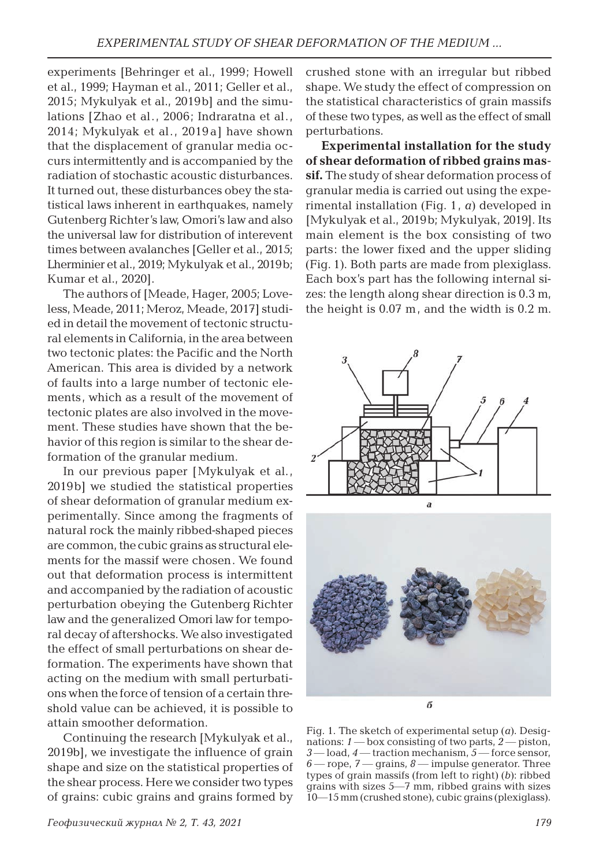experiments [Behringer et al., 1999; Howell et al., 1999; Hayman et al., 2011; Geller et al., 2015; Mykulyak et al., 2019b] and the simulations [Zhao et al., 2006; Indraratna et al., 2014; Mykulyak et al., 2019 a] have shown that the displacement of granular media occurs intermittently and is accompanied by the radiation of stochastic acoustic disturbances. It turned out, these disturbances obey the statistical laws inherent in earthquakes, namely Gutenberg Richter's law, Omori's law and also the universal law for distribution of interevent times between avalanches [Geller et al., 2015; Lherminier et al., 2019; Mykulyak et al., 2019b; Kumar et al., 2020].

The authors of [Meade, Hager, 2005; Loveless, Meade, 2011; Meroz, Meade, 2017] studied in detail the movement of tectonic structural elements in California, in the area between two tectonic plates: the Pacific and the North American. This area is divided by a network of faults into a large number of tectonic elements, which as a result of the movement of tectonic plates are also involved in the movement. These studies have shown that the behavior of this region is similar to the shear deformation of the granular medium.

In our previous paper [Mykulyak et al., 2019b] we studied the statistical properties of shear deformation of granular medium experimentally. Since among the fragments of natural rock the mainly ribbed-shaped pieces are common, the cubic grains as structural elements for the massif were chosen. We found out that deformation process is intermittent and accompanied by the radiation of acoustic perturbation obeying the Gutenberg Richter law and the generalized Omori law for temporal decay of aftershocks. We also investigated the effect of small perturbations on shear deformation. The experiments have shown that acting on the medium with small perturbations when the force of tension of a certain threshold value can be achieved, it is possible to attain smoother deformation.

Continuing the research [Mykulyak et al., 2019b], we investigate the influence of grain shape and size on the statistical properties of the shear process. Here we consider two types of grains: cubic grains and grains formed by

crushed stone with an irregular but ribbed shape. We study the effect of compression on the statistical characteristics of grain massifs of these two types, as well as the effect of small perturbations.

**Experimental installation for the study of shear deformation of ribbed grains massif.** The study of shear deformation process of granular media is carried out using the experimental installation (Fig. 1, *a*) developed in [Mykulyak et al., 2019b; Mykulyak, 2019]. Its main element is the box consisting of two parts: the lower fixed and the upper sliding (Fig. 1). Both parts are made from plexiglass. Each box's part has the following internal sizes: the length along shear direction is 0.3 m, the height is 0.07 m, and the width is 0.2 m.





Fig. 1. The sketch of experimental setup (*a*). Designations: *1* — box consisting of two parts, *2* — piston, *3* — load, *4* — traction mechanism, *5* — force sensor, *6* — rope, *7* — grains, *8* — impulse generator. Three types of grain massifs (from left to right) (*b*): ribbed grains with sizes 5—7 mm, ribbed grains with sizes 10—15 mm (crushed stone), cubic grains (plexiglass).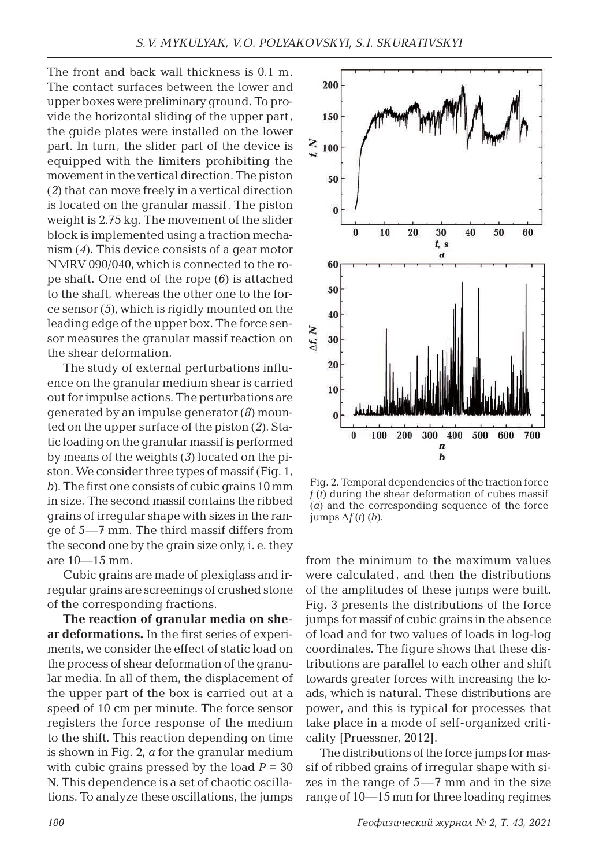The front and back wall thickness is 0.1 m. The contact surfaces between the lower and upper boxes were preliminary ground. To provide the horizontal sliding of the upper part, the guide plates were installed on the lower part. In turn, the slider part of the device is equipped with the limiters prohibiting the movement in the vertical direction. The piston (*2*) that can move freely in a vertical direction is located on the granular massif. The piston weight is 2.75 kg. The movement of the slider block is implemented using a traction mechanism (*4*). This device consists of a gear motor NMRV 090/040, which is connected to the rope shaft. One end of the rope (*6*) is attached to the shaft, whereas the other one to the force sensor (*5*), which is rigidly mounted on the leading edge of the upper box. The force sensor measures the granular massif reaction on the shear deformation.

The study of external perturbations influence on the granular medium shear is carried out for impulse actions. The perturbations are generated by an impulse generator (*8*) mounted on the upper surface of the piston (*2*). Static loading on the granular massif is performed by means of the weights (*3*) located on the piston. We consider three types of massif (Fig. 1, *b*). The first one consists of cubic grains 10 mm in size. The second massif contains the ribbed grains of irregular shape with sizes in the range of 5—7 mm. The third massif differs from the second one by the grain size only, i. e. they are 10—15 mm.

Cubic grains are made of plexiglass and irregular grains are screenings of crushed stone of the corresponding fractions.

**The reaction of granular media on shear deformations.** In the first series of experiments, we consider the effect of static load on the process of shear deformation of the granular media. In all of them, the displacement of the upper part of the box is carried out at a speed of 10 cm per minute. The force sensor registers the force response of the medium to the shift. This reaction depending on time is shown in Fig. 2, *a* for the granular medium with cubic grains pressed by the load  $P = 30$ N. This dependence is a set of chaotic oscillations. To analyze these oscillations, the jumps



Fig. 2. Temporal dependencies of the traction force  $f(t)$  during the shear deformation of cubes massif (*a*) and the corresponding sequence of the force  $\lim_{t \to \infty} \Delta f(t)$  (*b*).

from the minimum to the maximum values were calculated , and then the distributions of the amplitudes of these jumps were built. Fig. 3 presents the distributions of the force jumps for massif of cubic grains in the absence of load and for two values of loads in log-log coordinates. The figure shows that these distributions are parallel to each other and shift towards greater forces with increasing the loads, which is natural. These distributions are power, and this is typical for processes that take place in a mode of self-organized criticality [Pruessner, 2012].

The distributions of the force jumps for massif of ribbed grains of irregular shape with sizes in the range of  $5-7$  mm and in the size range of 10—15 mm for three loading regimes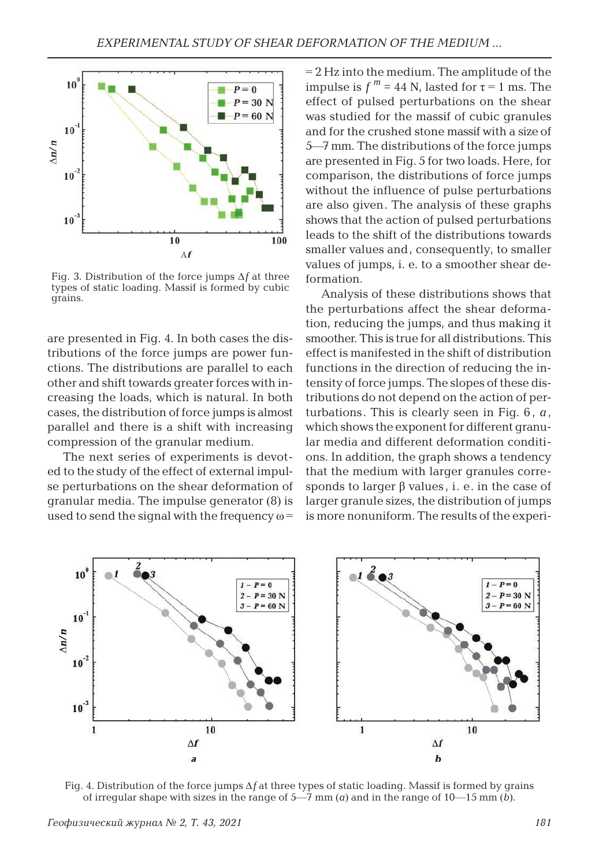

Fig. 3. Distribution of the force jumps Δ*f* at three types of static loading. Massif is formed by cubic grains.

are presented in Fig. 4. In both cases the distributions of the force jumps are power functions. The distributions are parallel to each other and shift towards greater forces with increasing the loads, which is natural. In both cases, the distribution of force jumps is almost parallel and there is a shift with increasing compression of the granular medium.

The next series of experiments is devoted to the study of the effect of external impulse perturbations on the shear deformation of granular media. The impulse generator (8) is used to send the signal with the frequency  $\omega$ =

= 2 Hz into the medium. The amplitude of the impulse is  $f^m = 44$  N, lasted for  $\tau = 1$  ms. The effect of pulsed perturbations on the shear was studied for the massif of cubic granules and for the crushed stone massif with a size of 5—7 mm. The distributions of the force jumps are presented in Fig. 5 for two loads. Here, for comparison, the distributions of force jumps without the influence of pulse perturbations are also given. The analysis of these graphs shows that the action of pulsed perturbations leads to the shift of the distributions towards smaller values and, consequently, to smaller values of jumps, i. e. to a smoother shear deformation.

Analysis of these distributions shows that the perturbations affect the shear deformation, reducing the jumps, and thus making it smoother. This is true for all distributions. This effect is manifested in the shift of distribution functions in the direction of reducing the intensity of force jumps. The slopes of these distributions do not depend on the action of perturbations. This is clearly seen in Fig. 6 , *a* , which shows the exponent for different granular media and different deformation conditions. In addition, the graph shows a tendency that the medium with larger granules corresponds to larger  $\beta$  values, i. e. in the case of larger granule sizes, the distribution of jumps is more nonuniform. The results of the experi-



Fig. 4. Distribution of the force jumps Δ*f* at three types of static loading. Massif is formed by grains of irregular shape with sizes in the range of  $5-7$  mm (*a*) and in the range of  $10-15$  mm (*b*).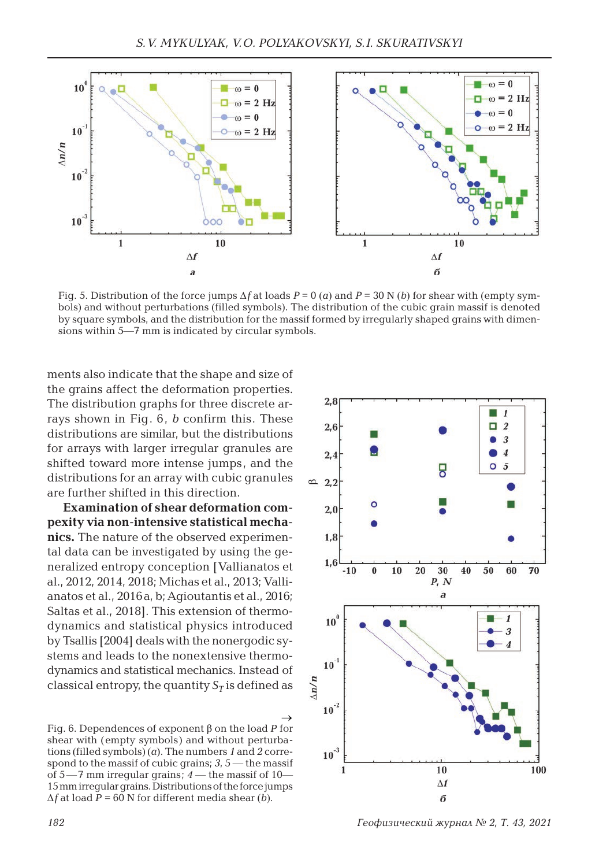

Fig. 5. Distribution of the force jumps  $\Delta f$  at loads  $P = 0$  (*a*) and  $P = 30$  N (*b*) for shear with (empty symbols) and without perturbations (filled symbols). The distribution of the cubic grain massif is denoted by square symbols, and the distribution for the massif formed by irregularly shaped grains with dimensions within 5—7 mm is indicated by circular symbols.

ments also indicate that the shape and size of the grains affect the deformation properties. The distribution graphs for three discrete arrays shown in Fig. 6, *b* confirm this. These distributions are similar, but the distributions for arrays with larger irregular granules are shifted toward more intense jumps, and the distributions for an array with cubic granules are further shifted in this direction.

**Examination of shear deformation compexity via non-intensive statistical mechanics.** The nature of the observed experimental data can be investigated by using the generalized entropy conception [Vallianatos et al., 2012, 2014, 2018; Michas et al., 2013; Vallianatos et al., 2016a, b; Agioutantis et al., 2016; Saltas et al., 2018]. This extension of thermodynamics and statistical physics introduced by Tsallis [2004] deals with the nonergodic systems and leads to the nonextensive thermodynamics and statistical mechanics. Instead of classical entropy, the quantity  $S_T$  is defined as

Fig. 6. Dependences of exponent β on the load *P* for shear with (empty symbols) and without perturbations (filled symbols) (*a*). The numbers *1* and *2* correspond to the massif of cubic grains; *3*, 5 — the massif of 5 —7 mm irregular grains; *4* — the massif of 10— 15 mm irregular grains. Distributions of the force jumps  $\Delta f$  at load  $P = 60$  N for different media shear (*b*).  $\rightarrow$ 



*182 Геофизический журнал № 2, Т. 43, 2021*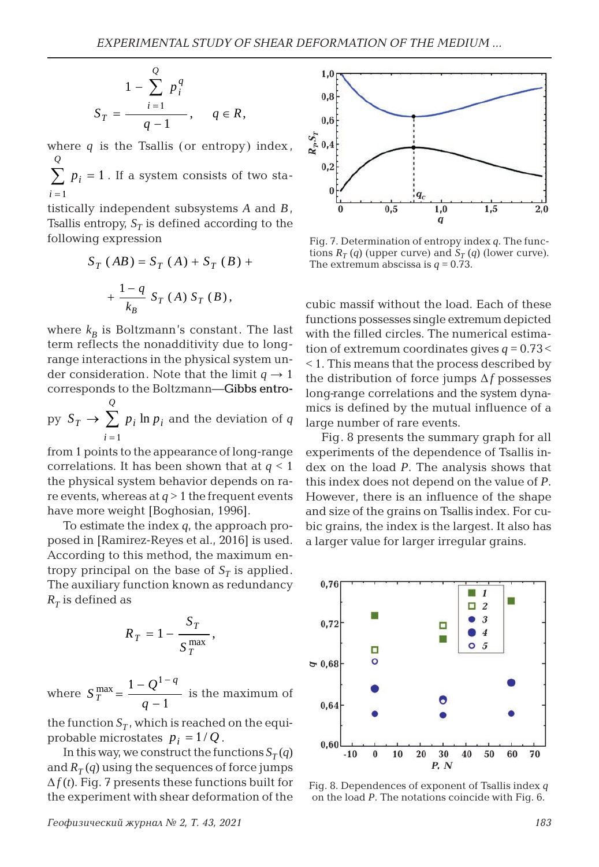$$
S_T = \frac{1 - \sum_{i=1}^{Q} p_i^q}{q - 1}, \quad q \in R,
$$

where  $q$  is the Tsallis (or entropy) index, *Q*

 $\sum p_i = 1$ . If a system consists of two sta*i* = 1

tistically independent subsystems *A* and *B*, Tsallis entropy,  $S_T$  is defined according to the following expression

$$
S_T (AB) = S_T (A) + S_T (B) + + \frac{1-q}{k_B} S_T (A) S_T (B),
$$

where  $k_B$  is Boltzmann's constant. The last term reflects the nonadditivity due to longrange interactions in the physical system under consideration. Note that the limit  $q \rightarrow 1$ corresponds to the Boltzmann-Gibbs entro-

py 
$$
S_T \rightarrow \sum_{i=1}^{Q} p_i \ln p_i
$$
 and the deviation of q

from 1 points to the appearance of long-range correlations. It has been shown that at *q* < 1 the physical system behavior depends on rare events, whereas at  $q > 1$  the frequent events have more weight [Boghosian, 1996].

To estimate the index *q*, the approach proposed in [Ramirez-Reyes et al., 2016] is used. According to this method, the maximum entropy principal on the base of  $S_T$  is applied. The auxiliary function known as redundancy  $R_T$  is defined as

$$
R_T = 1 - \frac{S_T}{S_T^{\max}},
$$

where  $S_T^{\text{max}} = \frac{1 - Q^{1-q}}{q}$  $=\frac{1-Q^{1}}{q-1}$ 1 is the maximum of

the function  $S_T$ , which is reached on the equiprobable microstates  $p_i = 1/Q$ .

In this way, we construct the functions  $S_T(q)$ and  $R_T(q)$  using the sequences of force jumps  $\Delta f(t)$ . Fig. 7 presents these functions built for the experiment with shear deformation of the



Fig. 7. Determination of entropy index *q*. The functions  $R_T(q)$  (upper curve) and  $S_T(q)$  (lower curve). The extremum abscissa is  $q = 0.73$ .

cubic massif without the load. Each of these functions possesses single extremum depicted with the filled circles. The numerical estimation of extremum coordinates gives  $q = 0.73 <$ < 1. This means that the process described by the distribution of force jumps Δ*f* possesses long-range correlations and the system dynamics is defined by the mutual influence of a large number of rare events.

Fig. 8 presents the summary graph for all experiments of the dependence of Tsallis index on the load *P*. The analysis shows that this index does not depend on the value of *P*. However, there is an influence of the shape and size of the grains on Tsallis index. For cubic grains, the index is the largest. It also has a larger value for larger irregular grains.



Fig. 8. Dependences of exponent of Tsallis index *q* on the load *P*. The notations coincide with Fig. 6.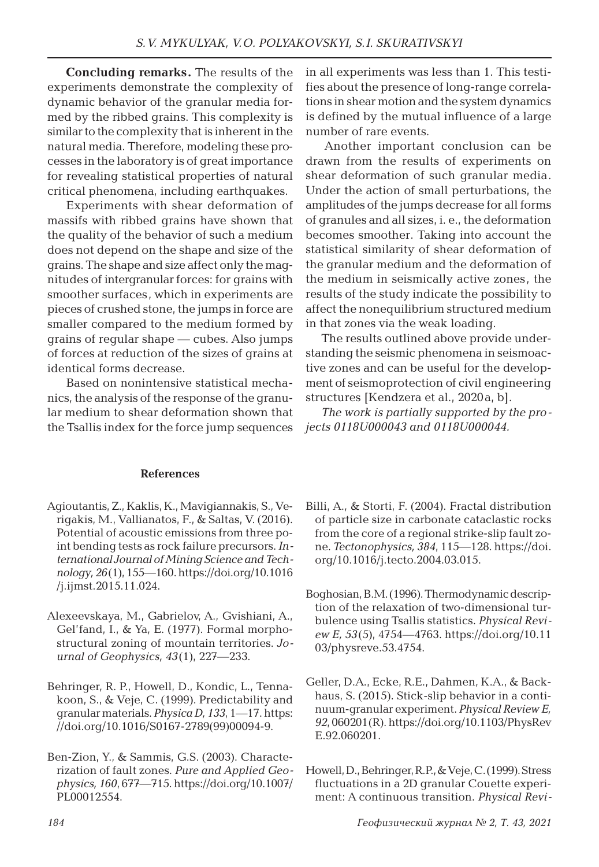**Concluding remarks.** The results of the experiments demonstrate the complexity of dynamic behavior of the granular media formed by the ribbed grains. This complexity is similar to the complexity that is inherent in the natural media. Therefore, modeling these processes in the laboratory is of great importance for revealing statistical properties of natural critical phenomena, including earthquakes.

Experiments with shear deformation of massifs with ribbed grains have shown that the quality of the behavior of such a medium does not depend on the shape and size of the grains. The shape and size affect only the magnitudes of intergranular forces: for grains with smoother surfaces, which in experiments are pieces of crushed stone, the jumps in force are smaller compared to the medium formed by grains of regular shape — cubes. Also jumps of forces at reduction of the sizes of grains at identical forms decrease.

Based on nonintensive statistical mechanics, the analysis of the response of the granular medium to shear deformation shown that the Tsallis index for the force jump sequences in all experiments was less than 1. This testifies about the presence of long-range correlations in shear motion and the system dynamics is defined by the mutual influence of a large number of rare events.

Another important conclusion can be drawn from the results of experiments on shear deformation of such granular media. Under the action of small perturbations, the amplitudes of the jumps decrease for all forms of granules and all sizes, i. e., the deformation becomes smoother. Taking into account the statistical similarity of shear deformation of the granular medium and the deformation of the medium in seismically active zones, the results of the study indicate the possibility to affect the nonequilibrium structured medium in that zones via the weak loading.

The results outlined above provide understanding the seismic phenomena in seismoactive zones and can be useful for the development of seismoprotection of civil engineering structures [Kendzera et al., 2020a, b].

*The work is partially supported by the projects 0118U000043 and 0118U000044.*

#### **References**

- Agioutantis, Z., Kaklis, K., Mavigiannakis, S., Verigakis, M., Vallianatos, F., & Saltas, V. (2016). Potential of acoustic emissions from three point bending tests as rock failure precursors. *International Journal of Mining Science and Technology, 26*(1), 155—160. https://doi.org/10.1016 /j.ijmst.2015.11.024.
- Alexeevskaya, M., Gabrielov, A., Gvishiani, A., Gel'fand, I., & Ya, E. (1977). Formal morphostructural zoning of mountain territories. *Journal of Geophysics, 43*(1), 227—233.
- Behringer, R. P., Howell, D., Kondic, L., Tennakoon, S., & Veje, C. (1999). Predictability and granular materials. *Physica D, 133*, 1—17. https: //doi.org/10.1016/S0167-2789(99)00094-9.
- Ben-Zion, Y., & Sammis, G.S. (2003). Characterization of fault zones. *Pure and Applied Geophysics, 160*, 677—715. https://doi.org/10.1007/ PL00012554.
- Billi, A., & Storti, F. (2004). Fractal distribution of particle size in carbonate cataclastic rocks from the core of a regional strike-slip fault zone. *Tectonophysics, 384*, 115—128. https://doi. org/10.1016/j.tecto.2004.03.015.
- Boghosian, B.M. (1996). Thermodynamic description of the relaxation of two-dimensional turbulence using Tsallis statistics. *Physical Review E, 53*(5), 4754—4763. https://doi.org/10.11 03/physreve.53.4754.
- Geller, D.A., Ecke, R.E., Dahmen, K.A., & Backhaus, S. (2015). Stick-slip behavior in a continuum-granular experiment. *Physical Review E, 92*, 060201(R). https://doi.org/10.1103/PhysRev E.92.060201.
- Howell, D., Behringer, R.P., & Veje, C. (1999). Stress fluctuations in a 2D granular Couette experiment: A continuous transition. *Physical Revi-*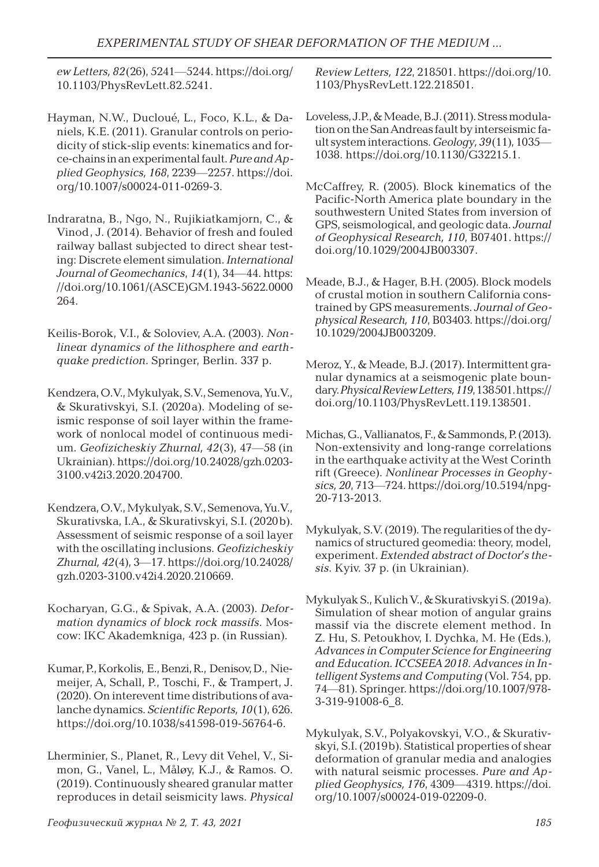*ew Letters, 82*(26), 5241—5244. https://doi.org/ 10.1103/PhysRevLett.82.5241.

- Hayman, N.W., Ducloué, L., Foco, K.L., & Daniels, K.E. (2011). Granular controls on periodicity of stick-slip events: kinematics and force-chains in an experimental fault. *Pure and Applied Geophysics, 168*, 2239—2257. https://doi. org/10.1007/s00024-011-0269-3.
- Indraratna, B., Ngo, N., Rujikiatkamjorn, C., & Vinod, J. (2014). Behavior of fresh and fouled railway ballast subjected to direct shear testing: Discrete element simulation. *International Journal of Geomechanics*, *14*(1), 34—44. https: //doi.org/10.1061/(ASCE)GM.1943-5622.0000 264.
- Keilis-Borok, V.I., & Soloviev, A.A. (2003). *Nonlinea*r *dynamics of the lithosphere and earthquake prediction*. Springer, Berlin. 337 p.
- Kendzera, O.V., Mykulyak, S.V., Semenova, Yu.V., & Skurativskyi, S.I. (2020a). Modeling of seismic response of soil layer within the framework of nonlocal model of continuous medium. *Geofizicheskiy Zhurnal, 42*(3), 47—58 (in Ukrainian). https://doi.org/10.24028/gzh.0203- 3100.v42i3.2020.204700.
- Kendzera, O.V., Mykulyak, S.V., Semenova, Yu.V., Skurativska, I.A., & Skurativskyi, S.I. (2020b). Assessment of seismic response of a soil layer with the oscillating inclusions. *Geofizicheskiy Zhurnal, 42*(4), 3—17. https://doi.org/10.24028/ gzh.0203-3100.v42i4.2020.210669.
- Kocharyan, G.G., & Spivak, А.А. (2003). *Deformation dynamics of block rock massifs*. Moscow: IKC Akademkniga, 423 p. (in Russian).
- Kumar, P., Korkolis, E., Benzi, R., Denisov, D., Niemeijer, A, Schall, P., Toschi, F., & Trampert, J. (2020). On interevent time distributions of avalanche dynamics. *Scientific Reports, 10*(1), 626. https://doi.org/10.1038/s41598-019-56764-6.
- Lherminier, S., Planet, R., Levy dit Vehel, V., Simon, G., Vanel, L., Måløy, K.J., & Ramos. O. (2019). Continuously sheared granular matter reproduces in detail seismicity laws. *Physical*

*Review Letters, 122*, 218501. https://doi.org/10. 1103/PhysRevLett.122.218501.

- Loveless, J.P., & Meade, B.J. (2011). Stress modulation on the San Andreas fault by interseismic fault system interactions. *Geology, 39*(11), 1035— 1038. https://doi.org/10.1130/G32215.1.
- McCaffrey, R. (2005). Block kinematics of the Pacific-North America plate boundary in the southwestern United States from inversion of GPS, seismological, and geologic data. *Journal of Geophysical Research, 110*, B07401. https:// doi.org/10.1029/2004JB003307.
- Meade, B.J., & Hager, B.H. (2005). Block models of crustal motion in southern California constrained by GPS measurements. *Journal of Geophysical Research, 110*, B03403. https://doi.org/ 10.1029/2004JB003209.
- Meroz, Y., & Meade, B.J. (2017). Intermittent granular dynamics at a seismogenic plate boundary. *Physical Review Letters, 119*, 138501. https:// doi.org/10.1103/PhysRevLett.119.138501.
- Michas, G., Vallianatos, F., & Sammonds, P. (2013). Non-extensivity and long-range correlations in the earthquake activity at the West Corinth rift (Greece). *Nonlinear Processes in Geophysics, 20*, 713—724. https://doi.org/10.5194/npg-20-713-2013.
- Mykulyak, S.V. (2019). The regularities of the dynamics of structured geomedia: theory, model, experiment. *Extended abstract of Doctor′s thesis*. Kyiv. 37 p. (in Ukrainian).
- Mykulyak S., Kulich V., & Skurativskyi S. (2019a). Simulation of shear motion of angular grains massif via the discrete element method. In Z. Hu, S. Petoukhov, I. Dychka, M. He (Eds.), *Advances in Computer Science for Engineering and Education. ICCSEEA 2018. Advances in Intelligent Systems and Computing* (Vol. 754, pp. 74—81). Springer. https://doi.org/10.1007/978- 3-319-91008-6\_8.
- Mykulyak, S.V., Polyakovskyi, V.O., & Skurativskyi, S.I. (2019b). Statistical properties of shear deformation of granular media and analogies with natural seismic processes. *Pure and Applied Geophysics, 176*, 4309—4319. https://doi. org/10.1007/s00024-019-02209-0.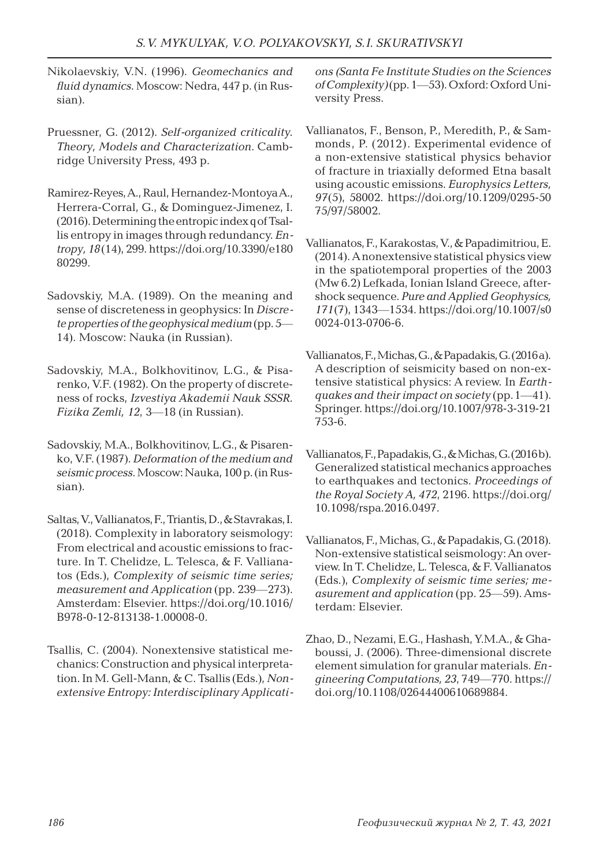- Nikolaevskiy, V.N. (1996). *Geomechanics and fluid dynamics.* Moscow: Nedra, 447 p. (in Russian).
- Pruessner, G. (2012). *Self-organized criticality. Theory, Models and Characterization*. Cambridge University Press, 493 p.
- Ramirez-Reyes, A., Raul, Hernandez-Montoya A., Herrera-Corral, G., & Dominguez-Jimenez, I. (2016). Determining the entropic index q of Tsallis entropy in images through redundancy. *Entropy, 18*(14), 299. https://doi.org/10.3390/e180 80299.
- Sadovskiy, M.A. (1989). On the meaning and sense of discreteness in geophysics: In *Discrete properties of the geophysical medium* (pp. 5— 14). Moscow: Nauka (in Russian).
- Sadovskiy, M.A., Bolkhovitinov, L.G., & Pisarenko, V.F. (1982). On the property of discreteness of rocks, *Izvestiya Akademii Nauk SSSR. Fizika Zemli, 12*, 3—18 (in Russian).
- Sadovskiy, M.A., Bolkhovitinov, L.G., & Pisarenko, V.F. (1987). *Deformation of the medium and seismic process*. Moscow: Nauka, 100 p. (in Russian).
- Saltas, V., Vallianatos, F., Triantis, D., & Stavrakas, I. (2018). Complexity in laboratory seismology: From electrical and acoustic emissions to fracture. In T. Chelidze, L. Telesca, & F. Vallianatos (Eds.), *Complexity of seismic time series; measurement and Application* (pp. 239—273). Amsterdam: Elsevier. https://doi.org/10.1016/ B978-0-12-813138-1.00008-0.
- Tsallis, C. (2004). Nonextensive statistical mechanics: Construction and physical interpretation. In M. Gell-Mann, & C. Tsallis (Eds.), *Nonextensive Entropy: Interdisciplinary Applicati-*

*ons (Santa Fe Institute Studies on the Sciences of Complexity)* (pp. 1—53). Oxford: Oxford University Press.

- Vallianatos, F., Benson, P., Meredith, P., & Sammonds, P. (2012). Experimental evidence of a non-extensive statistical physics behavior of fracture in triaxially deformed Etna basalt using acoustic emissions. *Europhysics Letters, 97*(5), 58002. https://doi.org/10.1209/0295-50 75/97/58002.
- Vallianatos, F., Karakostas, V., & Papadimitriou, E. (2014). A nonextensive statistical physics view in the spatiotemporal properties of the 2003 (Mw 6.2) Lefkada, Ionian Island Greece, aftershock sequence. *Pure and Applied Geophysics, 171*(7), 1343—1534. https://doi.org/10.1007/s0 0024-013-0706-6.
- Vallianatos, F., Michas, G., & Papadakis, G. (2016a). A description of seismicity based on non-extensive statistical physics: A review. In *Earthquakes and their impact on society* (pp.1—41). Springer. https://doi.org/10.1007/978-3-319-21 753-6.
- Vallianatos, F., Papadakis, G., & Michas, G. (2016b). Generalized statistical mechanics approaches to earthquakes and tectonics. *Proceedings of the Royal Society A, 472*, 2196. https://doi.org/ 10.1098/rspa.2016.0497.
- Vallianatos, F., Michas, G., & Papadakis, G. (2018). Non-extensive statistical seismology: An overview. In T. Chelidze, L. Telesca, & F. Vallianatos (Eds.), *Complexity of seismic time series; measurement and application* (pp. 25—59). Amsterdam: Elsevier.
- Zhao, D., Nezami, E.G., Hashash, Y.M.A., & Ghaboussi, J. (2006). Three-dimensional discrete element simulation for granular materials. *Engineering Computations, 23*, 749—770. https:// doi.org/10.1108/02644400610689884.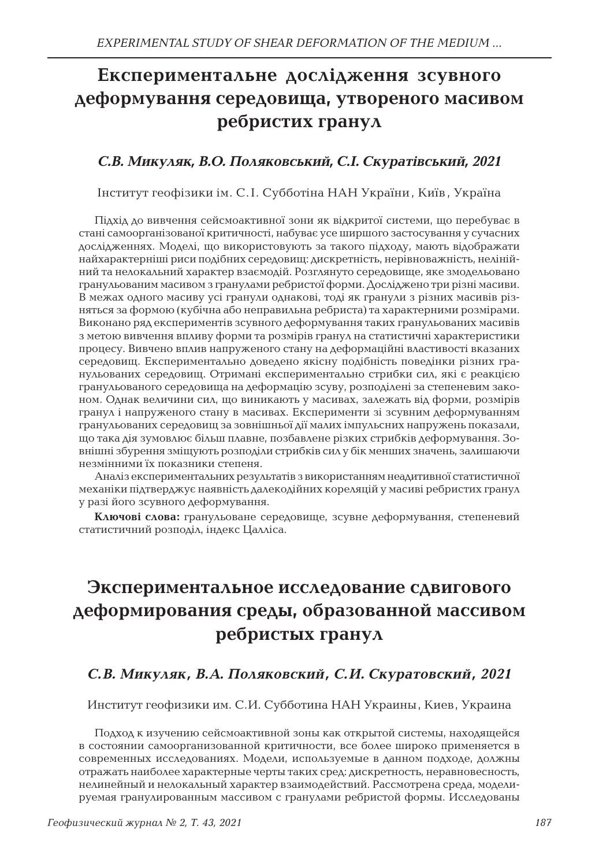# **Експериментальне дослідження зсувного деформування середовища, утвореного масивом ребристих гранул**

### *С.В. Микуляк, В.О. Поляковський, С.І. Скуратівський, 2021*

Інститут геофізики ім. С. І. Субботіна НАН України , Київ , Україна

Підхід до вивчення сейсмоактивної зони як відкритої системи, що перебуває в стані самоорганізованої критичності, набуває усе ширшого застосування у сучасних дослідженнях. Моделі, що використовують за такого підходу, мають відображати найхарактерніші риси подібних середовищ: дискретність, нерівноважність, нелінійний та нелокальний характер взаємодій. Розглянуто середовище, яке змодельовано гранульованим масивом з гранулами ребристої форми. Досліджено три різні масиви. В межах одного масиву усі гранули однакові, тоді як гранули з різних масивів різняться за формою (кубічна або неправильна ребриста) та характерними розмірами. Виконано ряд експериментів зсувного деформування таких гранульованих масивів з метою вивчення впливу форми та розмірів гранул на статистичні характеристики процесу. Вивчено вплив напруженого стану на деформаційні властивості вказаних середовищ. Експериментально доведено якісну подібність поведінки різних гранульованих середовищ. Отримані експериментально стрибки сил, які є реакцією гранульованого середовища на деформацію зсуву, розподілені за степеневим законом. Однак величини сил, що виникають у масивах, залежать від форми, розмірів гранул і напруженого стану в масивах. Експерименти зі зсувним деформуванням гранульованих середовищ за зовнішньої дії малих імпульсних напружень показали, що така дія зумовлює більш плавне, позбавлене різких стрибків деформування. Зовнішні збурення зміщують розподіли стрибків сил у бік менших значень, залишаючи незмінними їх показники степеня.

Аналіз експериментальних результатів з використанням неадитивної статистичної механіки підтверджує наявність далекодійних кореляцій у масиві ребристих гранул у разі його зсувного деформування.

**Ключові слова:** гранульоване середовище, зсувне деформування, степеневий статистичний розподіл, індекс Цалліса.

# **Экспериментальное исследование сдвигового деформирования среды, образованной массивом ребристых гранул**

### *С.В. Микуляк, В.А. Поляковский, С.И. Скуратoвский, 2021*

Институт геофизики им. С.И. Субботина НАН Украины, Киев, Украина

Подход к изучению сейсмоактивной зоны как открытой системы, находящейся в состоянии самоорганизованной критичности, все более широко применяется в современных исследованиях. Модели, используемые в данном подходе, должны отражать наиболее характерные черты таких сред: дискретность, неравновесность, нелинейный и нелокальный характер взаимодействий. Рассмотрена среда, моделируемая гранулированным массивом с гранулами ребристой формы. Исследованы